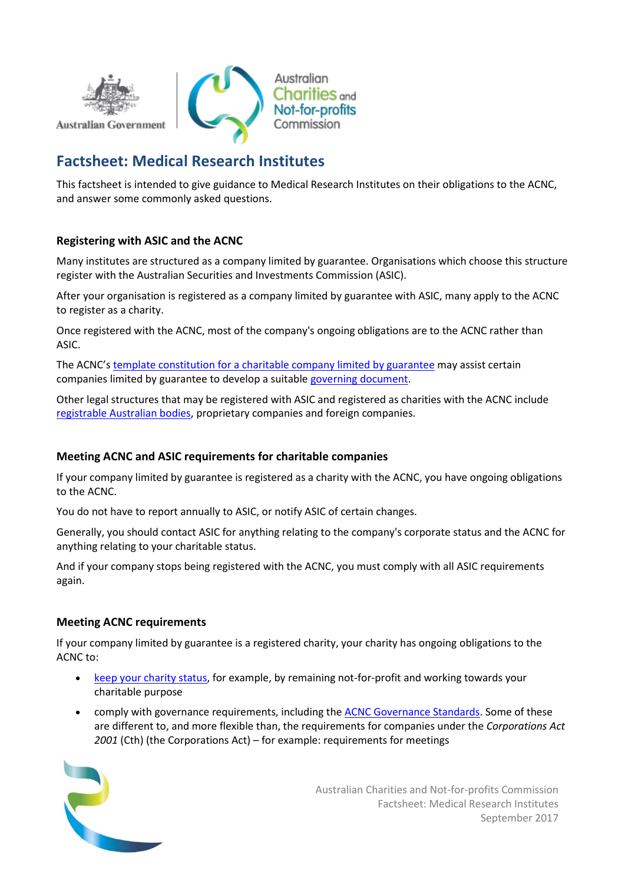

# **Factsheet: Medical Research Institutes**

This factsheet is intended to give guidance to Medical Research Institutes on their obligations to the ACNC, and answer some commonly asked questions.

## **Registering with ASIC and the ACNC**

Many institutes are structured as a company limited by guarantee. Organisations which choose this structure register with the Australian Securities and Investments Commission (ASIC).

After your organisation is registered as a company limited by guarantee with ASIC, many apply to the ACNC to register as a charity.

Once registered with the ACNC, most of the company's ongoing obligations are to the ACNC rather than ASIC.

The ACNC's [template constitution for a charitable company limited by guarantee](http://www.acnc.gov.au/clgconstitution) may assist certain companies limited by guarantee to develop a suitable [governing document.](http://www.acnc.gov.au/ACNC/Pblctns/Factsheets/ACNC/FTS/FS_Gov_docs.aspx)

Other legal structures that may be registered with ASIC and registered as charities with the ACNC include [registrable Australian bodies,](http://www.acnc.gov.au/ACNC/Pblctns/Factsheets/ACNC/FTS/Fact_RAB.aspx) proprietary companies and foreign companies.

## **Meeting ACNC and ASIC requirements for charitable companies**

If your company limited by guarantee is registered as a charity with the ACNC, you have ongoing obligations to the ACNC.

You do not have to report annually to ASIC, or notify ASIC of certain changes.

Generally, you should contact ASIC for anything relating to the company's corporate status and the ACNC for anything relating to your charitable status.

And if your company stops being registered with the ACNC, you must comply with all ASIC requirements again.

## **Meeting ACNC requirements**

If your company limited by guarantee is a registered charity, your charity has ongoing obligations to the ACNC to:

- [keep your charity status,](http://www.acnc.gov.au/ACNC/Manage/Keep_chaStatus/ACNC/Edu/Maintain_entitlement.aspx) for example, by remaining not-for-profit and working towards your charitable purpose
- comply with governance requirements, including the [ACNC Governance Standards.](http://www.acnc.gov.au/ACNC/Manage/Governance/ACNC/Edu/GovStds_overview.aspx) Some of these are different to, and more flexible than, the requirements for companies under the *Corporations Act 2001* (Cth) (the Corporations Act) – for example: requirements for meetings

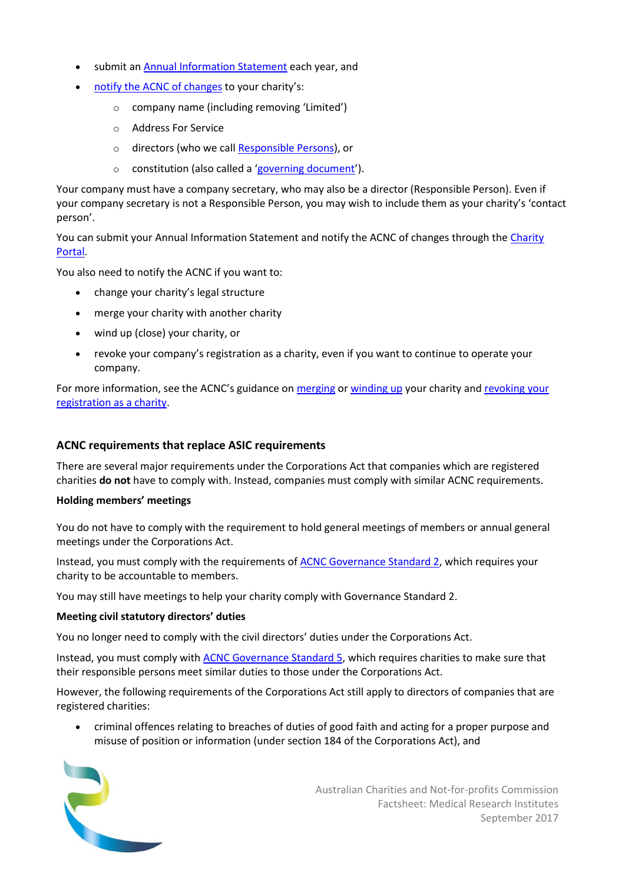- submit a[n Annual Information Statement](http://www.acnc.gov.au/ACNC/Manage/Reporting/About_AIS/ACNC/Report/About_AIS.aspx) each year, and
- [notify the ACNC of changes](http://www.acnc.gov.au/ACNC/Manage/UpdateDetails/ACNC/Edu/UpdateNotify.aspx) to your charity's:
	- o company name (including removing 'Limited')
	- o Address For Service
	- o directors (who we call [Responsible Persons\)](http://www.acnc.gov.au/ACNC/Pblctns/Factsheets/ACNC/FTS/FS_RespPers.aspx), or
	- o constitution (also called a '[governing document](http://www.acnc.gov.au/ACNC/Pblctns/Factsheets/ACNC/FTS/FS_Gov_docs.aspx)').

Your company must have a company secretary, who may also be a director (Responsible Person). Even if your company secretary is not a Responsible Person, you may wish to include them as your charity's 'contact person'.

You can submit your Annual Information Statement and notify the ACNC of changes through the [Charity](http://charity.acnc.gov.au/)  [Portal.](http://charity.acnc.gov.au/)

You also need to notify the ACNC if you want to:

- change your charity's legal structure
- merge your charity with another charity
- wind up (close) your charity, or
- revoke your company's registration as a charity, even if you want to continue to operate your company.

For more information, see the ACNC's guidance on [merging](http://www.acnc.gov.au/merge) or [winding up](http://www.acnc.gov.au/windup) your charity an[d revoking your](http://www.acnc.gov.au/ACNC/Publications/Policy_PDFs/CommSt_Dereg.aspx)  [registration as a charity.](http://www.acnc.gov.au/ACNC/Publications/Policy_PDFs/CommSt_Dereg.aspx)

#### **ACNC requirements that replace ASIC requirements**

There are several major requirements under the Corporations Act that companies which are registered charities **do not** have to comply with. Instead, companies must comply with similar ACNC requirements.

#### **Holding members' meetings**

You do not have to comply with the requirement to hold general meetings of members or annual general meetings under the Corporations Act.

Instead, you must comply with the requirements of [ACNC Governance Standard 2,](http://www.acnc.gov.au/ACNC/Manage/Governance/GovStds_2/ACNC/Edu/GovStandard_2.aspx) which requires your charity to be accountable to members.

You may still have meetings to help your charity comply with Governance Standard 2.

#### **Meeting civil statutory directors' duties**

You no longer need to comply with the civil directors' duties under the Corporations Act.

Instead, you must comply wit[h ACNC Governance Standard 5,](http://www.acnc.gov.au/ACNC/Manage/Governance/GovStds_5/ACNC/Edu/GovStandard_5.aspx) which requires charities to make sure that their responsible persons meet similar duties to those under the Corporations Act.

However, the following requirements of the Corporations Act still apply to directors of companies that are registered charities:

• criminal offences relating to breaches of duties of good faith and acting for a proper purpose and misuse of position or information (under section 184 of the Corporations Act), and

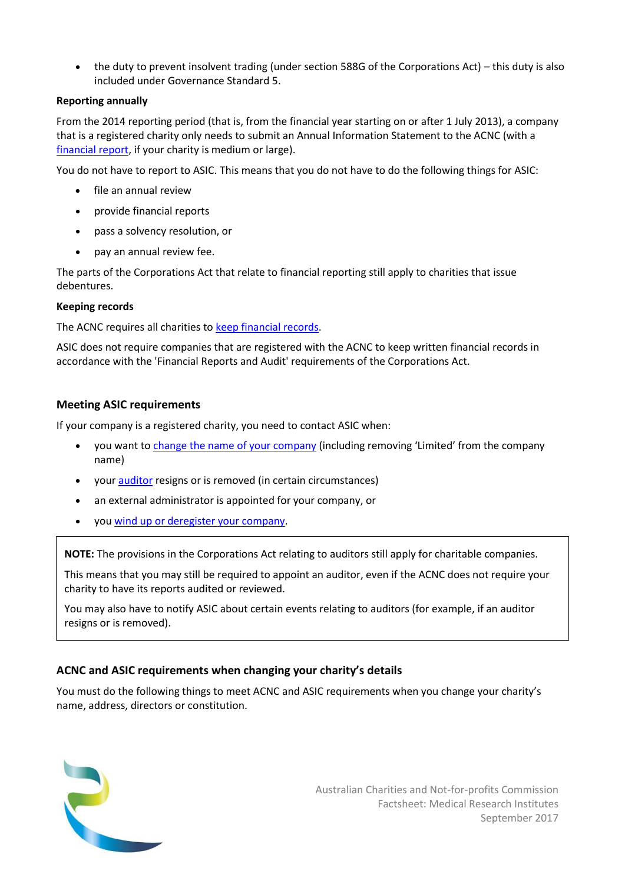• the duty to prevent insolvent trading (under section 588G of the Corporations Act) – this duty is also included under Governance Standard 5.

## **Reporting annually**

From the 2014 reporting period (that is, from the financial year starting on or after 1 July 2013), a company that is a registered charity only needs to submit an Annual Information Statement to the ACNC (with a [financial report,](http://www.acnc.gov.au/ACNC/Report/Financial.aspx) if your charity is medium or large).

You do not have to report to ASIC. This means that you do not have to do the following things for ASIC:

- file an annual review
- provide financial reports
- pass a solvency resolution, or
- pay an annual review fee.

The parts of the Corporations Act that relate to financial reporting still apply to charities that issue debentures.

## **Keeping records**

The ACNC requires all charities t[o keep financial records.](http://acnc.gov.au/ACNC/Manage/Record_keeping/ACNC/Edu/Record_Information.aspx)

ASIC does not require companies that are registered with the ACNC to keep written financial records in accordance with the 'Financial Reports and Audit' requirements of the Corporations Act.

## **Meeting ASIC requirements**

If your company is a registered charity, you need to contact ASIC when:

- you want to [change the name of your company](http://www.asic.gov.au/for-business/changes-to-your-company/changing-a-company-name/) (including removing 'Limited' from the company name)
- you[r auditor](http://www.asic.gov.au/regulatory-resources/financial-reporting-and-audit/auditors/) resigns or is removed (in certain circumstances)
- an external administrator is appointed for your company, or
- you [wind up or deregister your company.](http://www.asic.gov.au/for-business/closing-your-company/deregistration/winding-up-a-solvent-company/)

**NOTE:** The provisions in the Corporations Act relating to auditors still apply for charitable companies.

This means that you may still be required to appoint an auditor, even if the ACNC does not require your charity to have its reports audited or reviewed.

You may also have to notify ASIC about certain events relating to auditors (for example, if an auditor resigns or is removed).

## **ACNC and ASIC requirements when changing your charity's details**

You must do the following things to meet ACNC and ASIC requirements when you change your charity's name, address, directors or constitution.

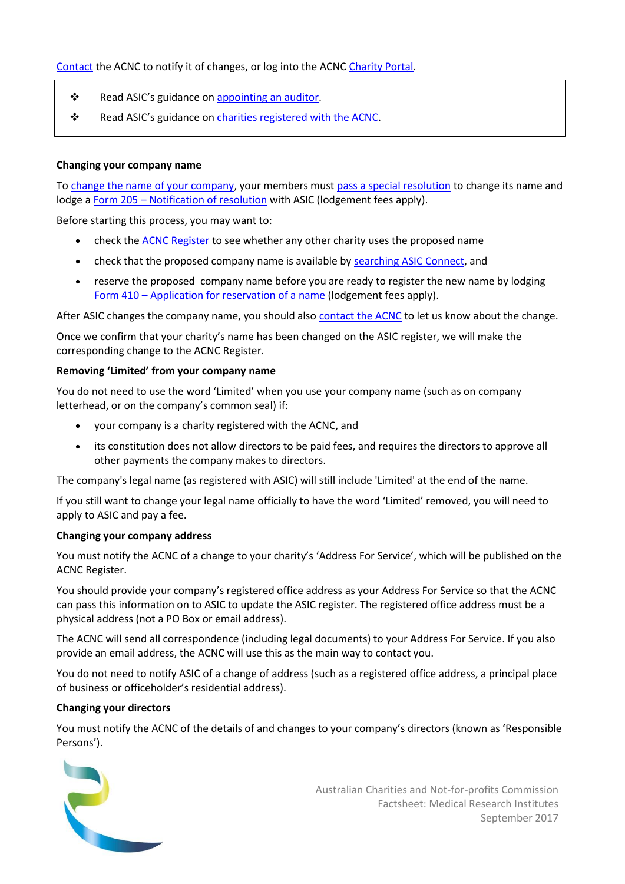- ❖ Read ASIC's guidance on [appointing an auditor.](http://www.asic.gov.au/regulatory-resources/financial-reporting-and-audit/auditors/appointment-of-an-auditor/)
- ❖ Read ASIC's guidance on [charities registered with the ACNC.](http://asic.gov.au/for-business/running-a-company/company-officeholder-duties/charities-registered-with-the-acnc/)

#### **Changing your company name**

T[o change the name of your company,](http://www.asic.gov.au/for-business/changes-to-your-company/changing-a-company-name/) your members must [pass a special resolution](http://www.asic.gov.au/for-business/changes-to-your-company/company-resolutions/) to change its name and lodge a Form 205 – [Notification of resolution](http://asic.gov.au/regulatory-resources/forms/forms-folder/205-notification-of-resolution/) with ASIC (lodgement fees apply).

Before starting this process, you may want to:

- check the [ACNC Register](http://www.acnc.gov.au/CharityRegister) to see whether any other charity uses the proposed name
- check that the proposed company name is available by [searching ASIC Connect,](https://asicconnect.asic.gov.au/public/faces/landingPage?_afrLoop=461274057205000&_afrWindowMode=0&_adf.ctrl-state=ou61qx3xl_4) and
- reserve the proposed company name before you are ready to register the new name by lodging Form 410 – [Application for reservation of a name](http://asic.gov.au/regulatory-resources/forms/forms-folder/410-application-for-reservation-of-a-name/) (lodgement fees apply).

After ASIC changes the company name, you should also [contact the ACNC](http://www.acnc.gov.au/ACNC/Contact_us/ACNC/Adv/Contact_us.aspx) to let us know about the change.

Once we confirm that your charity's name has been changed on the ASIC register, we will make the corresponding change to the ACNC Register.

#### **Removing 'Limited' from your company name**

You do not need to use the word 'Limited' when you use your company name (such as on company letterhead, or on the company's common seal) if:

- your company is a charity registered with the ACNC, and
- its constitution does not allow directors to be paid fees, and requires the directors to approve all other payments the company makes to directors.

The company's legal name (as registered with ASIC) will still include 'Limited' at the end of the name.

If you still want to change your legal name officially to have the word 'Limited' removed, you will need to apply to ASIC and pay a fee.

#### **Changing your company address**

You must notify the ACNC of a change to your charity's 'Address For Service', which will be published on the ACNC Register.

You should provide your company's registered office address as your Address For Service so that the ACNC can pass this information on to ASIC to update the ASIC register. The registered office address must be a physical address (not a PO Box or email address).

The ACNC will send all correspondence (including legal documents) to your Address For Service. If you also provide an email address, the ACNC will use this as the main way to contact you.

You do not need to notify ASIC of a change of address (such as a registered office address, a principal place of business or officeholder's residential address).

#### **Changing your directors**

You must notify the ACNC of the details of and changes to your company's directors (known as 'Responsible Persons').

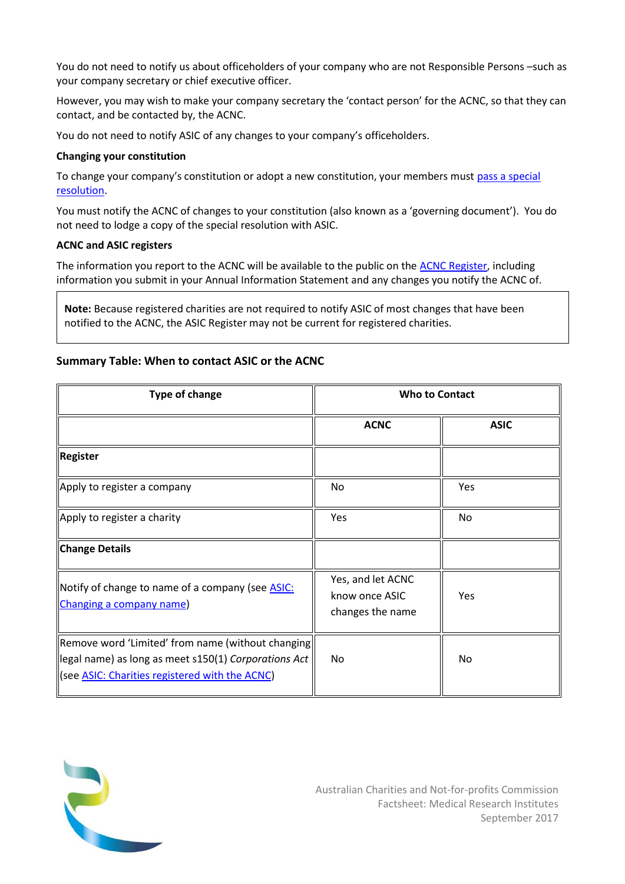You do not need to notify us about officeholders of your company who are not Responsible Persons –such as your company secretary or chief executive officer.

However, you may wish to make your company secretary the 'contact person' for the ACNC, so that they can contact, and be contacted by, the ACNC.

You do not need to notify ASIC of any changes to your company's officeholders.

#### **Changing your constitution**

To change your company's constitution or adopt a new constitution, your members must [pass a special](http://www.asic.gov.au/for-business/changes-to-your-company/company-resolutions/)  [resolution.](http://www.asic.gov.au/for-business/changes-to-your-company/company-resolutions/)

You must notify the ACNC of changes to your constitution (also known as a 'governing document'). You do not need to lodge a copy of the special resolution with ASIC.

#### **ACNC and ASIC registers**

The information you report to the ACNC will be available to the public on the [ACNC Register,](http://www.acnc.gov.au/findacharity) including information you submit in your Annual Information Statement and any changes you notify the ACNC of.

**Note:** Because registered charities are not required to notify ASIC of most changes that have been notified to the ACNC, the ASIC Register may not be current for registered charities.

## **Summary Table: When to contact ASIC or the ACNC**

| <b>Type of change</b>                                                                                                                                       | <b>Who to Contact</b>                                   |             |
|-------------------------------------------------------------------------------------------------------------------------------------------------------------|---------------------------------------------------------|-------------|
|                                                                                                                                                             | <b>ACNC</b>                                             | <b>ASIC</b> |
| Register                                                                                                                                                    |                                                         |             |
| Apply to register a company                                                                                                                                 | No                                                      | Yes         |
| Apply to register a charity                                                                                                                                 | <b>Yes</b>                                              | No          |
| Change Details                                                                                                                                              |                                                         |             |
| Notify of change to name of a company (see <b>ASIC</b> :<br>Changing a company name)                                                                        | Yes, and let ACNC<br>know once ASIC<br>changes the name | <b>Yes</b>  |
| Remove word 'Limited' from name (without changing)<br>legal name) as long as meet s150(1) Corporations Act<br>See ASIC: Charities registered with the ACNC) | No                                                      | No          |

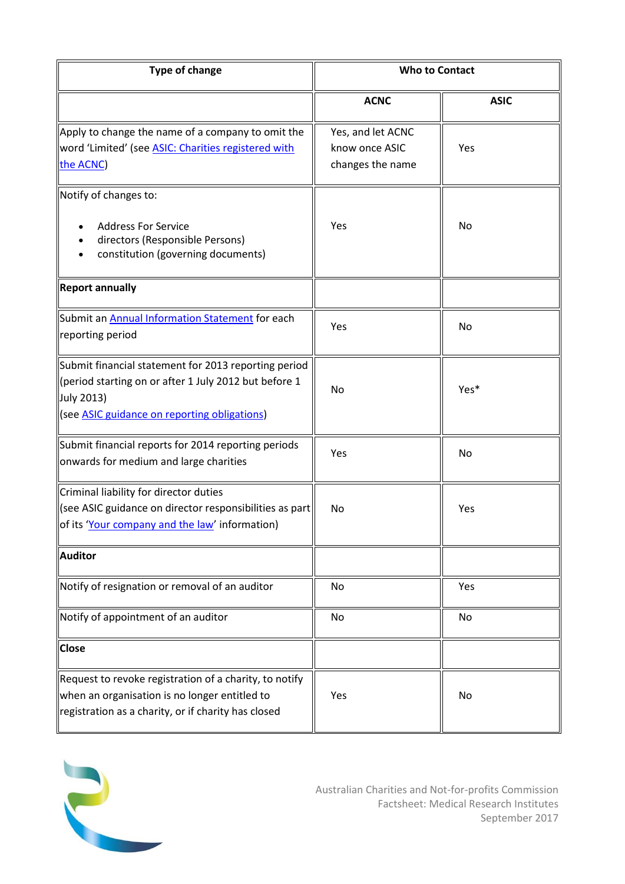| <b>Type of change</b>                                                                                                                                                       | <b>Who to Contact</b>                                   |             |
|-----------------------------------------------------------------------------------------------------------------------------------------------------------------------------|---------------------------------------------------------|-------------|
|                                                                                                                                                                             | <b>ACNC</b>                                             | <b>ASIC</b> |
| Apply to change the name of a company to omit the<br>word 'Limited' (see ASIC: Charities registered with<br>the ACNC)                                                       | Yes, and let ACNC<br>know once ASIC<br>changes the name | Yes         |
| Notify of changes to:                                                                                                                                                       |                                                         |             |
| <b>Address For Service</b><br>directors (Responsible Persons)<br>constitution (governing documents)                                                                         | Yes                                                     | No          |
| <b>Report annually</b>                                                                                                                                                      |                                                         |             |
| Submit an <b>Annual Information Statement</b> for each<br>reporting period                                                                                                  | Yes                                                     | No          |
| Submit financial statement for 2013 reporting period<br>(period starting on or after 1 July 2012 but before 1<br>July 2013)<br>(see ASIC guidance on reporting obligations) | No                                                      | Yes*        |
| Submit financial reports for 2014 reporting periods<br>onwards for medium and large charities                                                                               | Yes                                                     | No          |
| Criminal liability for director duties<br>$\parallel$ (see ASIC guidance on director responsibilities as part<br>of its 'Your company and the law' information)             | No                                                      | Yes         |
| <b>Auditor</b>                                                                                                                                                              |                                                         |             |
| Notify of resignation or removal of an auditor                                                                                                                              | No                                                      | Yes         |
| Notify of appointment of an auditor                                                                                                                                         | No                                                      | No          |
| <b>Close</b>                                                                                                                                                                |                                                         |             |
| Request to revoke registration of a charity, to notify<br>when an organisation is no longer entitled to<br>registration as a charity, or if charity has closed              | Yes                                                     | No          |

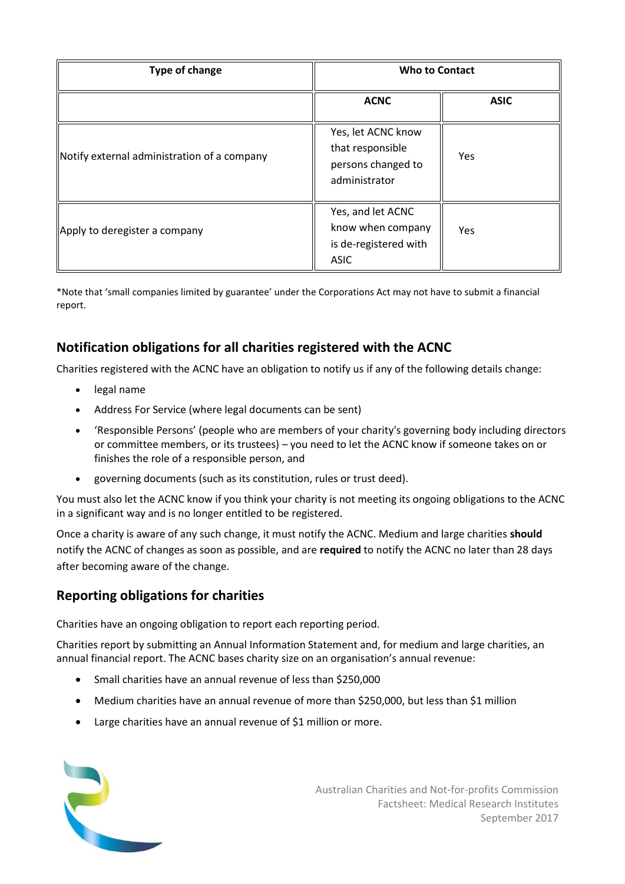| Type of change                              | <b>Who to Contact</b>                                                          |             |
|---------------------------------------------|--------------------------------------------------------------------------------|-------------|
|                                             | <b>ACNC</b>                                                                    | <b>ASIC</b> |
| Notify external administration of a company | Yes, let ACNC know<br>that responsible<br>persons changed to<br>administrator  | Yes         |
| Apply to deregister a company               | Yes, and let ACNC<br>know when company<br>is de-registered with<br><b>ASIC</b> | Yes         |

\*Note that 'small companies limited by guarantee' under the Corporations Act may not have to submit a financial report.

# **Notification obligations for all charities registered with the ACNC**

Charities registered with the ACNC have an obligation to notify us if any of the following details change:

- legal name
- Address For Service (where legal documents can be sent)
- 'Responsible Persons' (people who are members of your charity's governing body including directors or committee members, or its trustees) – you need to let the ACNC know if someone takes on or finishes the role of a responsible person, and
- governing documents (such as its constitution, rules or trust deed).

You must also let the ACNC know if you think your charity is not meeting its ongoing obligations to the ACNC in a significant way and is no longer entitled to be registered.

Once a charity is aware of any such change, it must notify the ACNC. Medium and large charities **should** notify the ACNC of changes as soon as possible, and are **required** to notify the ACNC no later than 28 days after becoming aware of the change.

## **Reporting obligations for charities**

Charities have an ongoing obligation to report each reporting period.

Charities report by submitting an Annual Information Statement and, for medium and large charities, an annual financial report. The ACNC bases charity size on an organisation's annual revenue:

- Small charities have an annual revenue of less than \$250,000
- Medium charities have an annual revenue of more than \$250,000, but less than \$1 million
- Large charities have an annual revenue of \$1 million or more.

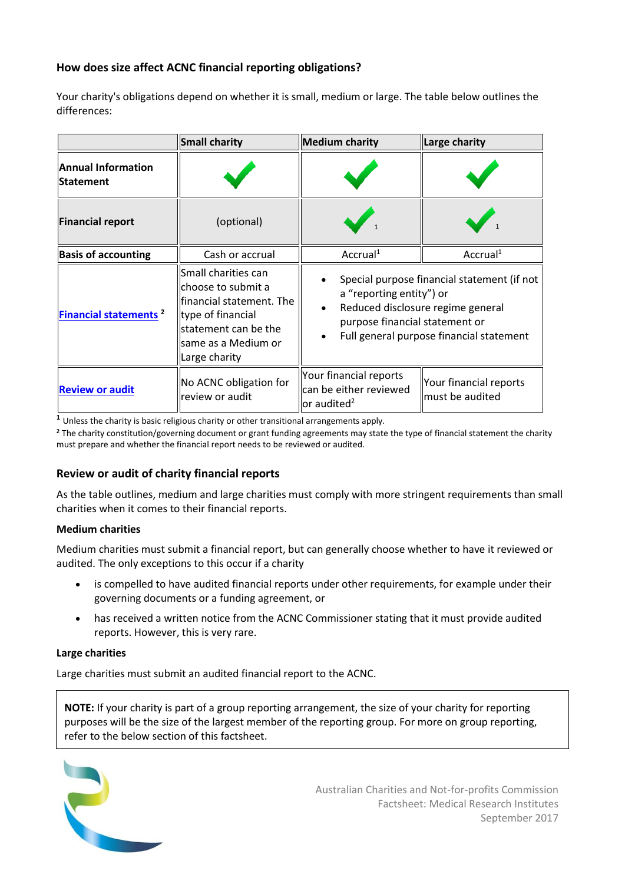## **How does size affect ACNC financial reporting obligations?**

Your charity's obligations depend on whether it is small, medium or large. The table below outlines the differences:

|                                               | <b>Small charity</b>                                                                                                                                       | <b>Medium charity</b>                                                                                                                                                                                   | <b>Large charity</b>                      |
|-----------------------------------------------|------------------------------------------------------------------------------------------------------------------------------------------------------------|---------------------------------------------------------------------------------------------------------------------------------------------------------------------------------------------------------|-------------------------------------------|
| <b>Annual Information</b><br><b>Statement</b> |                                                                                                                                                            |                                                                                                                                                                                                         |                                           |
| <b>Financial report</b>                       | (optional)                                                                                                                                                 |                                                                                                                                                                                                         |                                           |
| <b>Basis of accounting</b>                    | Cash or accrual                                                                                                                                            | Accrual <sup>1</sup>                                                                                                                                                                                    | Accrual <sup>1</sup>                      |
| Financial statements <sup>2</sup>             | Small charities can<br>choose to submit a<br>financial statement. The<br>type of financial<br>statement can be the<br>same as a Medium or<br>Large charity | Special purpose financial statement (if not<br>a "reporting entity") or<br>Reduced disclosure regime general<br>$\bullet$<br>purpose financial statement or<br>Full general purpose financial statement |                                           |
| <b>Review or audit</b>                        | No ACNC obligation for<br>review or audit                                                                                                                  | Your financial reports<br>can be either reviewed<br>or audited <sup>2</sup>                                                                                                                             | Your financial reports<br>must be audited |

**<sup>1</sup>** Unless the charity is basic religious charity or other transitional arrangements apply.

**<sup>2</sup>** The charity constitution/governing document or grant funding agreements may state the type of financial statement the charity must prepare and whether the financial report needs to be reviewed or audited.

## **Review or audit of charity financial reports**

As the table outlines, medium and large charities must comply with more stringent requirements than small charities when it comes to their financial reports.

#### **Medium charities**

Medium charities must submit a financial report, but can generally choose whether to have it reviewed or audited. The only exceptions to this occur if a charity

- is compelled to have audited financial reports under other requirements, for example under their governing documents or a funding agreement, or
- has received a written notice from the ACNC Commissioner stating that it must provide audited reports. However, this is very rare.

#### **Large charities**

Large charities must submit an audited financial report to the ACNC.

**NOTE:** If your charity is part of a group reporting arrangement, the size of your charity for reporting purposes will be the size of the largest member of the reporting group. For more on group reporting, refer to the below section of this factsheet.

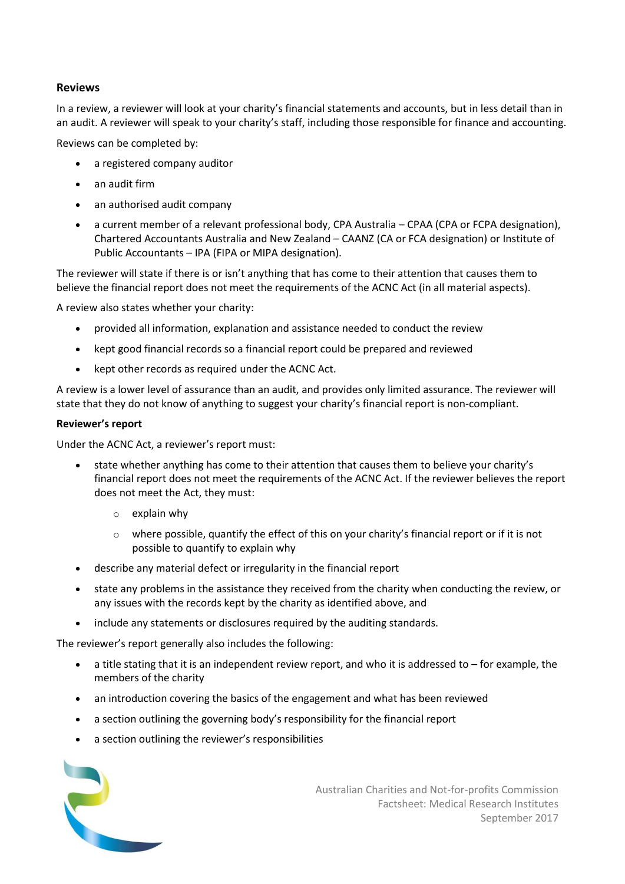#### **Reviews**

In a review, a reviewer will look at your charity's financial statements and accounts, but in less detail than in an audit. A reviewer will speak to your charity's staff, including those responsible for finance and accounting.

Reviews can be completed by:

- a registered company auditor
- an audit firm
- an authorised audit company
- a current member of a relevant professional body, CPA Australia CPAA (CPA or FCPA designation), Chartered Accountants Australia and New Zealand – CAANZ (CA or FCA designation) or Institute of Public Accountants – IPA (FIPA or MIPA designation).

The reviewer will state if there is or isn't anything that has come to their attention that causes them to believe the financial report does not meet the requirements of the ACNC Act (in all material aspects).

A review also states whether your charity:

- provided all information, explanation and assistance needed to conduct the review
- kept good financial records so a financial report could be prepared and reviewed
- kept other records as required under the ACNC Act.

A review is a lower level of assurance than an audit, and provides only limited assurance. The reviewer will state that they do not know of anything to suggest your charity's financial report is non-compliant.

#### **Reviewer's report**

Under the ACNC Act, a reviewer's report must:

- state whether anything has come to their attention that causes them to believe your charity's financial report does not meet the requirements of the ACNC Act. If the reviewer believes the report does not meet the Act, they must:
	- $\circ$  explain why
	- $\circ$  where possible, quantify the effect of this on your charity's financial report or if it is not possible to quantify to explain why
- describe any material defect or irregularity in the financial report
- state any problems in the assistance they received from the charity when conducting the review, or any issues with the records kept by the charity as identified above, and
- include any statements or disclosures required by the auditing standards.

The reviewer's report generally also includes the following:

- a title stating that it is an independent review report, and who it is addressed to for example, the members of the charity
- an introduction covering the basics of the engagement and what has been reviewed
- a section outlining the governing body's responsibility for the financial report
- a section outlining the reviewer's responsibilities

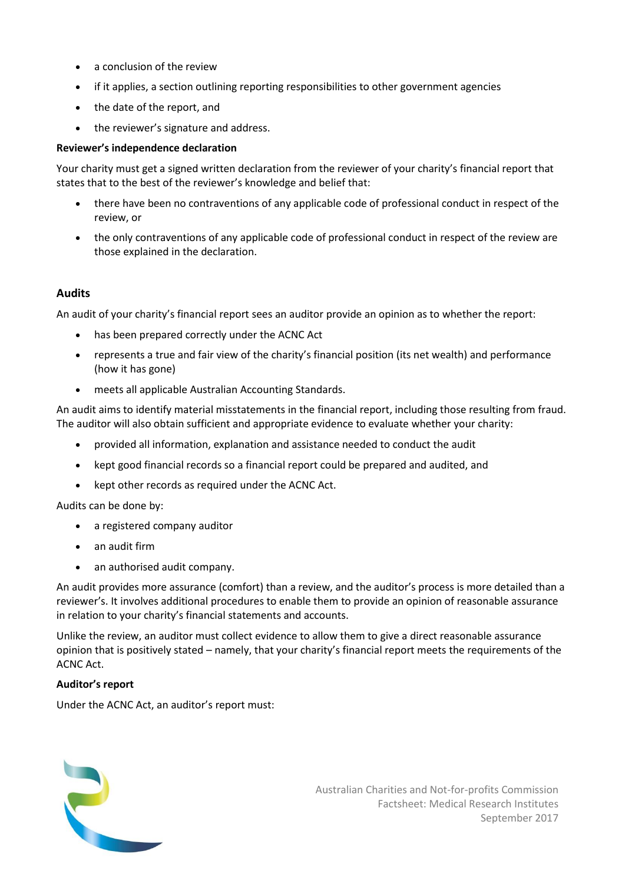- a conclusion of the review
- if it applies, a section outlining reporting responsibilities to other government agencies
- the date of the report, and
- the reviewer's signature and address.

#### **Reviewer's independence declaration**

Your charity must get a signed written declaration from the reviewer of your charity's financial report that states that to the best of the reviewer's knowledge and belief that:

- there have been no contraventions of any applicable code of professional conduct in respect of the review, or
- the only contraventions of any applicable code of professional conduct in respect of the review are those explained in the declaration.

#### **Audits**

An audit of your charity's financial report sees an auditor provide an opinion as to whether the report:

- has been prepared correctly under the ACNC Act
- represents a true and fair view of the charity's financial position (its net wealth) and performance (how it has gone)
- meets all applicable Australian Accounting Standards.

An audit aims to identify material misstatements in the financial report, including those resulting from fraud. The auditor will also obtain sufficient and appropriate evidence to evaluate whether your charity:

- provided all information, explanation and assistance needed to conduct the audit
- kept good financial records so a financial report could be prepared and audited, and
- kept other records as required under the ACNC Act.

Audits can be done by:

- a registered company auditor
- an audit firm
- an authorised audit company.

An audit provides more assurance (comfort) than a review, and the auditor's process is more detailed than a reviewer's. It involves additional procedures to enable them to provide an opinion of reasonable assurance in relation to your charity's financial statements and accounts.

Unlike the review, an auditor must collect evidence to allow them to give a direct reasonable assurance opinion that is positively stated – namely, that your charity's financial report meets the requirements of the ACNC Act.

#### **Auditor's report**

Under the ACNC Act, an auditor's report must:

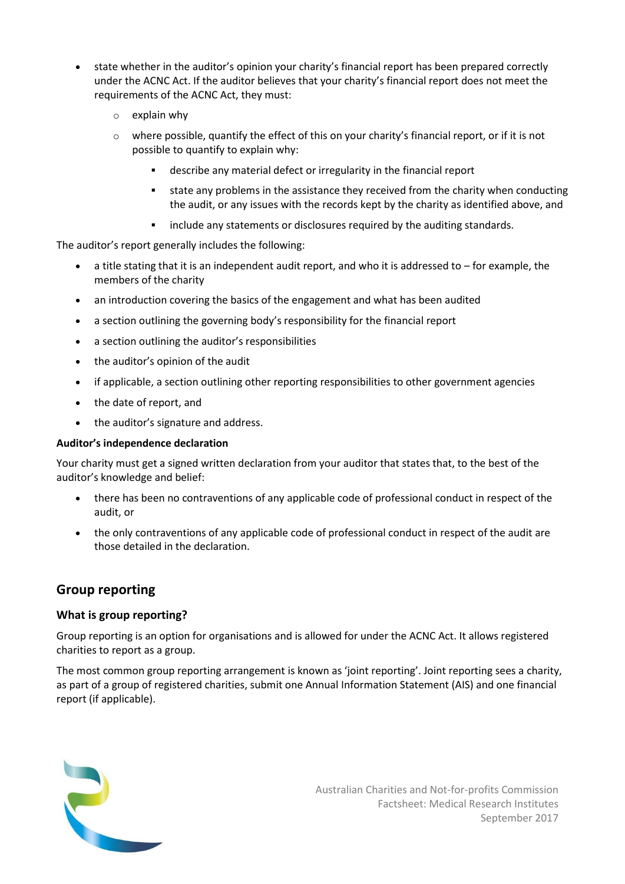- state whether in the auditor's opinion your charity's financial report has been prepared correctly under the ACNC Act. If the auditor believes that your charity's financial report does not meet the requirements of the ACNC Act, they must:
	- o explain why
	- $\circ$  where possible, quantify the effect of this on your charity's financial report, or if it is not possible to quantify to explain why:
		- describe any material defect or irregularity in the financial report
		- state any problems in the assistance they received from the charity when conducting the audit, or any issues with the records kept by the charity as identified above, and
		- include any statements or disclosures required by the auditing standards.

The auditor's report generally includes the following:

- a title stating that it is an independent audit report, and who it is addressed to for example, the members of the charity
- an introduction covering the basics of the engagement and what has been audited
- a section outlining the governing body's responsibility for the financial report
- a section outlining the auditor's responsibilities
- the auditor's opinion of the audit
- if applicable, a section outlining other reporting responsibilities to other government agencies
- the date of report, and
- the auditor's signature and address.

#### **Auditor's independence declaration**

Your charity must get a signed written declaration from your auditor that states that, to the best of the auditor's knowledge and belief:

- there has been no contraventions of any applicable code of professional conduct in respect of the audit, or
- the only contraventions of any applicable code of professional conduct in respect of the audit are those detailed in the declaration.

## **Group reporting**

#### **What is group reporting?**

Group reporting is an option for organisations and is allowed for under the ACNC Act. It allows registered charities to report as a group.

The most common group reporting arrangement is known as 'joint reporting'. Joint reporting sees a charity, as part of a group of registered charities, submit one Annual Information Statement (AIS) and one financial report (if applicable).

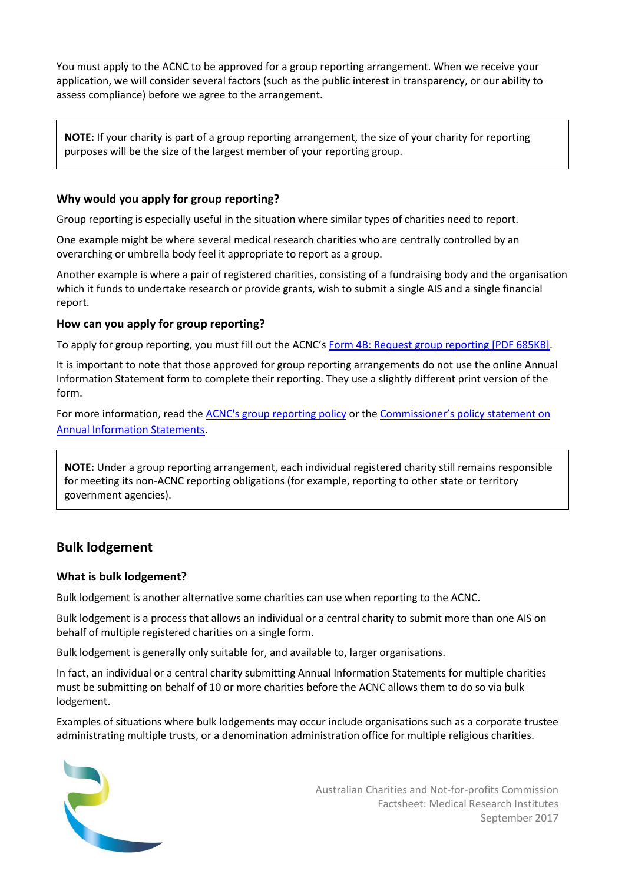You must apply to the ACNC to be approved for a group reporting arrangement. When we receive your application, we will consider several factors (such as the public interest in transparency, or our ability to assess compliance) before we agree to the arrangement.

**NOTE:** If your charity is part of a group reporting arrangement, the size of your charity for reporting purposes will be the size of the largest member of your reporting group.

## **Why would you apply for group reporting?**

Group reporting is especially useful in the situation where similar types of charities need to report.

One example might be where several medical research charities who are centrally controlled by an overarching or umbrella body feel it appropriate to report as a group.

Another example is where a pair of registered charities, consisting of a fundraising body and the organisation which it funds to undertake research or provide grants, wish to submit a single AIS and a single financial report.

## **How can you apply for group reporting?**

To apply for group reporting, you must fill out the ACNC's [Form 4B: Request group reporting \[PDF 685KB\].](http://www.acnc.gov.au/CMDownload.aspx?ContentKey=63e427e0-ea74-42ee-9586-c765b403ac4e&ContentItemKey=556e55df-43a1-44ae-99e7-bd46e56a3b96)

It is important to note that those approved for group reporting arrangements do not use the online Annual Information Statement form to complete their reporting. They use a slightly different print version of the form.

For more information, read the [ACNC's group reporting policy](http://www.acnc.gov.au/ACNC/Publications/Policy_PDFs/CorpPol_Group_Reporting.aspx) or the Commissioner['s policy statement on](https://www.acnc.gov.au/ACNC/Publications/Policy_PDFs/CorPol_AIS.aspx)  [Annual Information Statements.](https://www.acnc.gov.au/ACNC/Publications/Policy_PDFs/CorPol_AIS.aspx)

**NOTE:** Under a group reporting arrangement, each individual registered charity still remains responsible for meeting its non-ACNC reporting obligations (for example, reporting to other state or territory government agencies).

# **Bulk lodgement**

## **What is bulk lodgement?**

Bulk lodgement is another alternative some charities can use when reporting to the ACNC.

Bulk lodgement is a process that allows an individual or a central charity to submit more than one AIS on behalf of multiple registered charities on a single form.

Bulk lodgement is generally only suitable for, and available to, larger organisations.

In fact, an individual or a central charity submitting Annual Information Statements for multiple charities must be submitting on behalf of 10 or more charities before the ACNC allows them to do so via bulk lodgement.

Examples of situations where bulk lodgements may occur include organisations such as a corporate trustee administrating multiple trusts, or a denomination administration office for multiple religious charities.

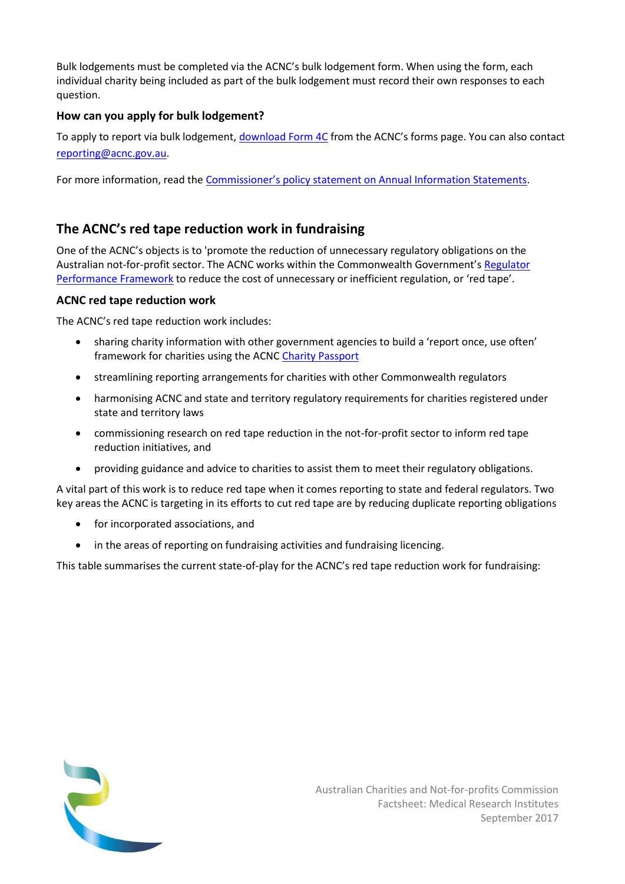Bulk lodgements must be completed via the ACNC's bulk lodgement form. When using the form, each individual charity being included as part of the bulk lodgement must record their own responses to each question.

## **How can you apply for bulk lodgement?**

To apply to report via bulk lodgement[, download Form 4C](http://www.acnc.gov.au/forms) from the ACNC's forms page. You can also contact [reporting@acnc.gov.au.](mailto:reporting@acnc.gov.au)

For more information, read the [Commissioner's policy statement on Annual Information Statements](https://www.acnc.gov.au/ACNC/Publications/Policy_PDFs/CorPol_AIS.aspx).

# **The ACNC's red tape reduction work in fundraising**

One of the ACNC's objects is to 'promote the reduction of unnecessary regulatory obligations on the Australian not-for-profit sector. The ACNC works within the Commonwealth Government's [Regulator](http://cuttingredtape.gov.au/resources/rpf)  [Performance Framework](http://cuttingredtape.gov.au/resources/rpf) to reduce the cost of unnecessary or inefficient regulation, or 'red tape'.

## **ACNC red tape reduction work**

The ACNC's red tape reduction work includes:

- sharing charity information with other government agencies to build a 'report once, use often' framework for charities using the ACN[C Charity Passport](http://acnc.gov.au/charitypassport)
- streamlining reporting arrangements for charities with other Commonwealth regulators
- harmonising ACNC and state and territory regulatory requirements for charities registered under state and territory laws
- commissioning research on red tape reduction in the not-for-profit sector to inform red tape reduction initiatives, and
- providing guidance and advice to charities to assist them to meet their regulatory obligations.

A vital part of this work is to reduce red tape when it comes reporting to state and federal regulators. Two key areas the ACNC is targeting in its efforts to cut red tape are by reducing duplicate reporting obligations

- for incorporated associations, and
- in the areas of reporting on fundraising activities and fundraising licencing.

This table summarises the current state-of-play for the ACNC's red tape reduction work for fundraising: